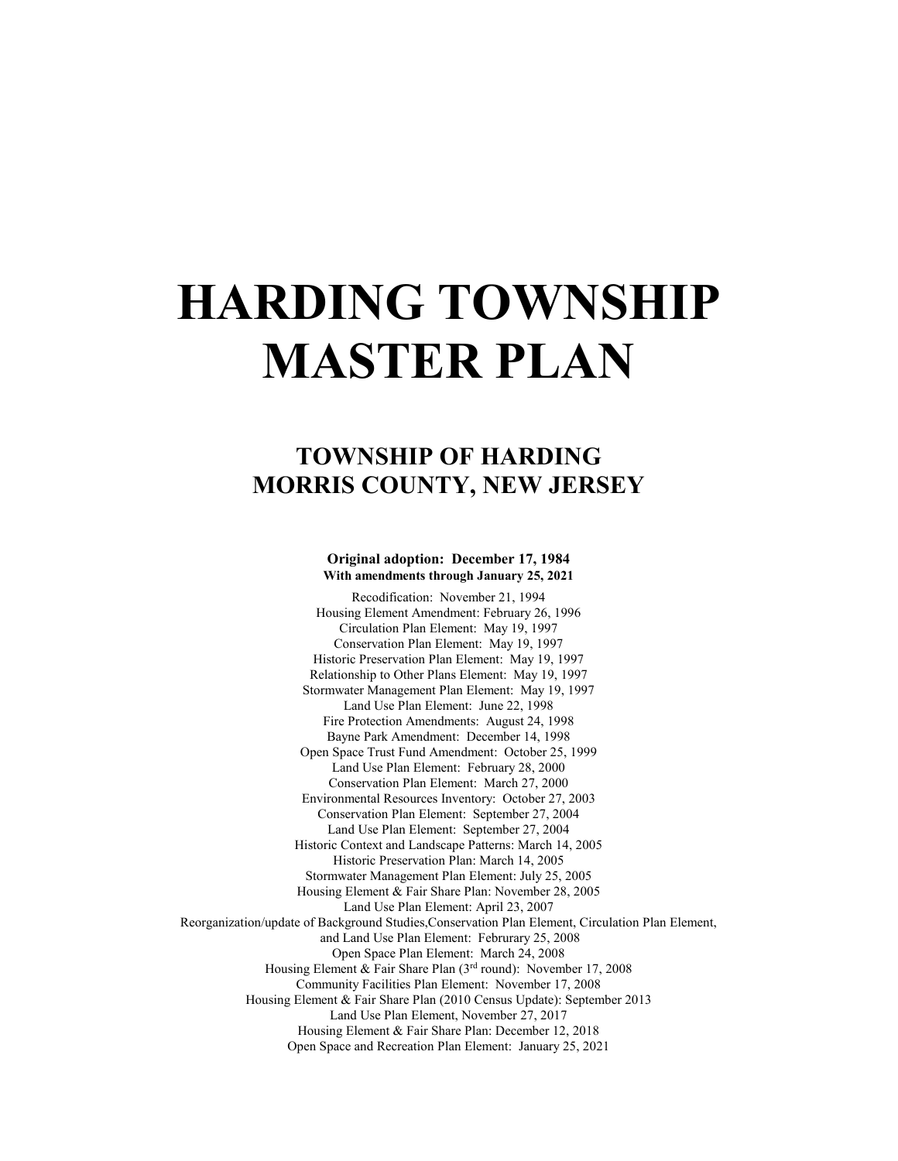# **HARDING TOWNSHIP MASTER PLAN**

## **TOWNSHIP OF HARDING MORRIS COUNTY, NEW JERSEY**

#### **Original adoption: December 17, 1984 With amendments through January 25, 2021**

Recodification: November 21, 1994 Housing Element Amendment: February 26, 1996 Circulation Plan Element: May 19, 1997 Conservation Plan Element: May 19, 1997 Historic Preservation Plan Element: May 19, 1997 Relationship to Other Plans Element: May 19, 1997 Stormwater Management Plan Element: May 19, 1997 Land Use Plan Element: June 22, 1998 Fire Protection Amendments: August 24, 1998 Bayne Park Amendment: December 14, 1998 Open Space Trust Fund Amendment: October 25, 1999 Land Use Plan Element: February 28, 2000 Conservation Plan Element: March 27, 2000 Environmental Resources Inventory: October 27, 2003 Conservation Plan Element: September 27, 2004 Land Use Plan Element: September 27, 2004 Historic Context and Landscape Patterns: March 14, 2005 Historic Preservation Plan: March 14, 2005 Stormwater Management Plan Element: July 25, 2005 Housing Element & Fair Share Plan: November 28, 2005 Land Use Plan Element: April 23, 2007 Reorganization/update of Background Studies,Conservation Plan Element, Circulation Plan Element, and Land Use Plan Element: Februrary 25, 2008 Open Space Plan Element: March 24, 2008 Housing Element & Fair Share Plan (3rd round): November 17, 2008 Community Facilities Plan Element: November 17, 2008 Housing Element & Fair Share Plan (2010 Census Update): September 2013 Land Use Plan Element, November 27, 2017 Housing Element & Fair Share Plan: December 12, 2018 Open Space and Recreation Plan Element: January 25, 2021